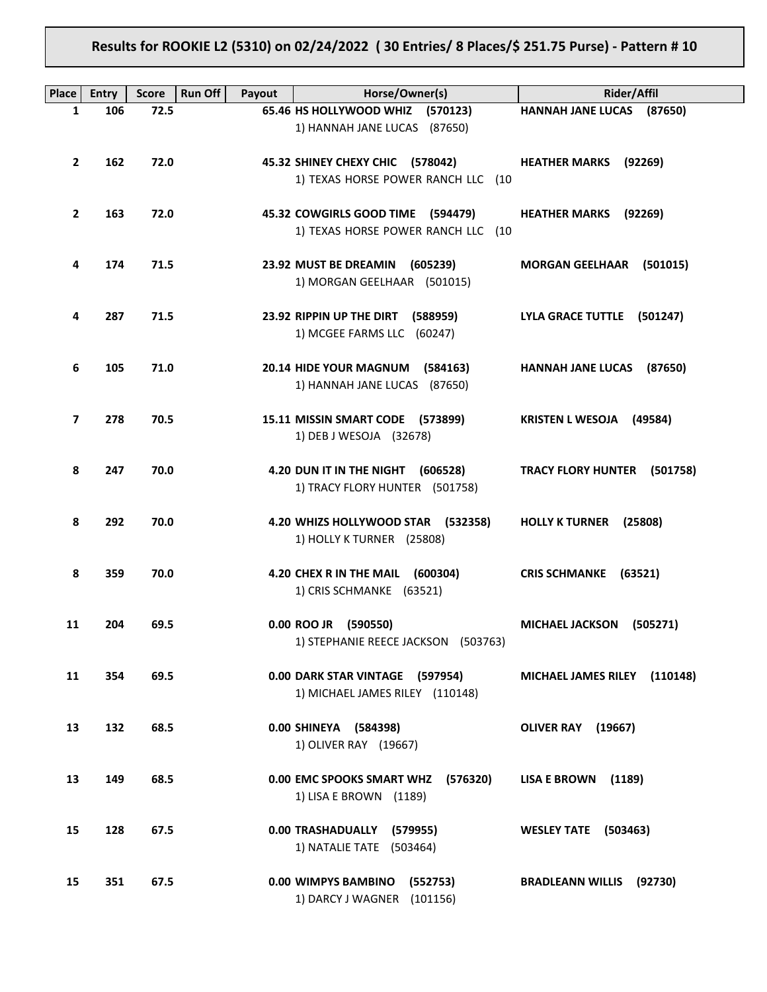# **Results for ROOKIE L2 (5310) on 02/24/2022 ( 30 Entries/ 8 Places/\$ 251.75 Purse) - Pattern # 10**

| <b>Place</b>   | Entry | <b>Score</b> | Run Off<br>Payout | Horse/Owner(s)                        | <b>Rider/Affil</b>                 |
|----------------|-------|--------------|-------------------|---------------------------------------|------------------------------------|
| 1              | 106   | 72.5         |                   | 65.46 HS HOLLYWOOD WHIZ (570123)      | HANNAH JANE LUCAS (87650)          |
|                |       |              |                   | 1) HANNAH JANE LUCAS (87650)          |                                    |
|                |       |              |                   |                                       |                                    |
| $\mathbf{2}$   | 162   | 72.0         |                   | 45.32 SHINEY CHEXY CHIC (578042)      | <b>HEATHER MARKS</b> (92269)       |
|                |       |              |                   | 1) TEXAS HORSE POWER RANCH LLC (10    |                                    |
|                |       |              |                   |                                       |                                    |
|                |       |              |                   |                                       |                                    |
| $\overline{2}$ | 163   | 72.0         |                   | 45.32 COWGIRLS GOOD TIME (594479)     | <b>HEATHER MARKS</b><br>(92269)    |
|                |       |              |                   | 1) TEXAS HORSE POWER RANCH LLC (10    |                                    |
|                |       |              |                   |                                       |                                    |
| 4              | 174   | 71.5         |                   | 23.92 MUST BE DREAMIN<br>(605239)     | <b>MORGAN GEELHAAR</b><br>(501015) |
|                |       |              |                   | 1) MORGAN GEELHAAR (501015)           |                                    |
|                |       |              |                   |                                       |                                    |
|                |       |              |                   |                                       |                                    |
| 4              | 287   | 71.5         |                   | 23.92 RIPPIN UP THE DIRT (588959)     | LYLA GRACE TUTTLE (501247)         |
|                |       |              |                   | 1) MCGEE FARMS LLC (60247)            |                                    |
|                |       |              |                   |                                       |                                    |
| 6              | 105   | 71.0         |                   | 20.14 HIDE YOUR MAGNUM (584163)       | HANNAH JANE LUCAS (87650)          |
|                |       |              |                   | 1) HANNAH JANE LUCAS (87650)          |                                    |
|                |       |              |                   |                                       |                                    |
|                |       |              |                   |                                       |                                    |
| $\overline{ }$ | 278   | 70.5         |                   | 15.11 MISSIN SMART CODE (573899)      | <b>KRISTEN L WESOJA</b><br>(49584) |
|                |       |              |                   | 1) DEB J WESOJA (32678)               |                                    |
|                |       |              |                   |                                       |                                    |
| 8              | 247   | 70.0         |                   | 4.20 DUN IT IN THE NIGHT (606528)     | TRACY FLORY HUNTER (501758)        |
|                |       |              |                   | 1) TRACY FLORY HUNTER (501758)        |                                    |
|                |       |              |                   |                                       |                                    |
|                |       |              |                   |                                       |                                    |
| 8              | 292   | 70.0         |                   | 4.20 WHIZS HOLLYWOOD STAR (532358)    | HOLLY K TURNER (25808)             |
|                |       |              |                   | 1) HOLLY K TURNER (25808)             |                                    |
|                |       |              |                   |                                       |                                    |
| 8              | 359   | 70.0         |                   | 4.20 CHEX R IN THE MAIL<br>(600304)   | <b>CRIS SCHMANKE</b><br>(63521)    |
|                |       |              |                   | 1) CRIS SCHMANKE (63521)              |                                    |
|                |       |              |                   |                                       |                                    |
|                |       |              |                   |                                       |                                    |
| 11             | 204   | 69.5         |                   | 0.00 ROO JR (590550)                  | MICHAEL JACKSON (505271)           |
|                |       |              |                   | 1) STEPHANIE REECE JACKSON (503763)   |                                    |
|                |       |              |                   |                                       |                                    |
| 11             | 354   | 69.5         |                   | 0.00 DARK STAR VINTAGE (597954)       | MICHAEL JAMES RILEY (110148)       |
|                |       |              |                   | 1) MICHAEL JAMES RILEY (110148)       |                                    |
|                |       |              |                   |                                       |                                    |
|                |       |              |                   |                                       |                                    |
| 13             | 132   | 68.5         |                   | 0.00 SHINEYA (584398)                 | OLIVER RAY (19667)                 |
|                |       |              |                   | 1) OLIVER RAY (19667)                 |                                    |
|                |       |              |                   |                                       |                                    |
| 13             | 149   | 68.5         |                   | 0.00 EMC SPOOKS SMART WHZ<br>(576320) | LISA E BROWN (1189)                |
|                |       |              |                   | 1) LISA E BROWN (1189)                |                                    |
|                |       |              |                   |                                       |                                    |
|                |       |              |                   |                                       |                                    |
| 15             | 128   | 67.5         |                   | 0.00 TRASHADUALLY<br>(579955)         | WESLEY TATE (503463)               |
|                |       |              |                   | 1) NATALIE TATE (503464)              |                                    |
|                |       |              |                   |                                       |                                    |
| 15             | 351   | 67.5         |                   | 0.00 WIMPYS BAMBINO<br>(552753)       | <b>BRADLEANN WILLIS (92730)</b>    |
|                |       |              |                   | 1) DARCY J WAGNER (101156)            |                                    |
|                |       |              |                   |                                       |                                    |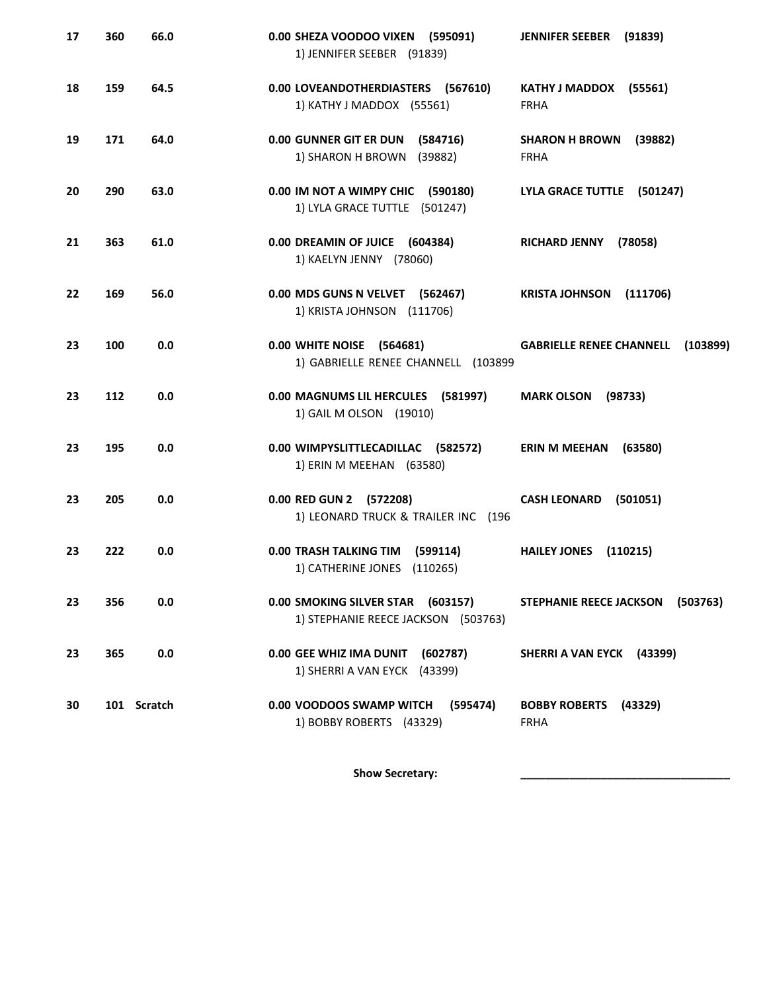| 17 | 360 | 66.0        | 0.00 SHEZA VOODOO VIXEN (595091)<br>1) JENNIFER SEEBER (91839)           | <b>JENNIFER SEEBER</b><br>(91839)               |
|----|-----|-------------|--------------------------------------------------------------------------|-------------------------------------------------|
| 18 | 159 | 64.5        | 0.00 LOVEANDOTHERDIASTERS (567610)<br>1) KATHY J MADDOX (55561)          | KATHY J MADDOX (55561)<br><b>FRHA</b>           |
| 19 | 171 | 64.0        | 0.00 GUNNER GIT ER DUN<br>(584716)<br>1) SHARON H BROWN<br>(39882)       | <b>SHARON H BROWN</b><br>(39882)<br><b>FRHA</b> |
| 20 | 290 | 63.0        | 0.00 IM NOT A WIMPY CHIC (590180)<br>1) LYLA GRACE TUTTLE (501247)       | LYLA GRACE TUTTLE (501247)                      |
| 21 | 363 | 61.0        | 0.00 DREAMIN OF JUICE (604384)<br>1) KAELYN JENNY (78060)                | <b>RICHARD JENNY</b><br>(78058)                 |
| 22 | 169 | 56.0        | 0.00 MDS GUNS N VELVET (562467)<br>1) KRISTA JOHNSON (111706)            | KRISTA JOHNSON (111706)                         |
| 23 | 100 | 0.0         | 0.00 WHITE NOISE (564681)<br>1) GABRIELLE RENEE CHANNELL (103899         | <b>GABRIELLE RENEE CHANNELL</b><br>(103899)     |
| 23 | 112 | 0.0         | 0.00 MAGNUMS LIL HERCULES<br>(581997)<br>1) GAIL M OLSON (19010)         | <b>MARK OLSON</b><br>(98733)                    |
| 23 | 195 | 0.0         | 0.00 WIMPYSLITTLECADILLAC (582572)<br>1) ERIN M MEEHAN (63580)           | <b>ERIN M MEEHAN</b><br>(63580)                 |
| 23 | 205 | 0.0         | 0.00 RED GUN 2 (572208)<br>1) LEONARD TRUCK & TRAILER INC (196           | <b>CASH LEONARD</b><br>(501051)                 |
| 23 | 222 | 0.0         | <b>0.00 TRASH TALKING TIM</b><br>(599114)<br>1) CATHERINE JONES (110265) | <b>HAILEY JONES</b><br>(110215)                 |
| 23 | 356 | 0.0         | 0.00 SMOKING SILVER STAR (603157)<br>1) STEPHANIE REECE JACKSON (503763) | <b>STEPHANIE REECE JACKSON</b><br>(503763)      |
| 23 | 365 | 0.0         | 0.00 GEE WHIZ IMA DUNIT<br>(602787)<br>1) SHERRI A VAN EYCK (43399)      | SHERRI A VAN EYCK (43399)                       |
| 30 |     | 101 Scratch | 0.00 VOODOOS SWAMP WITCH<br>(595474)<br>1) BOBBY ROBERTS (43329)         | <b>BOBBY ROBERTS</b><br>(43329)<br><b>FRHA</b>  |

Show Secretary: